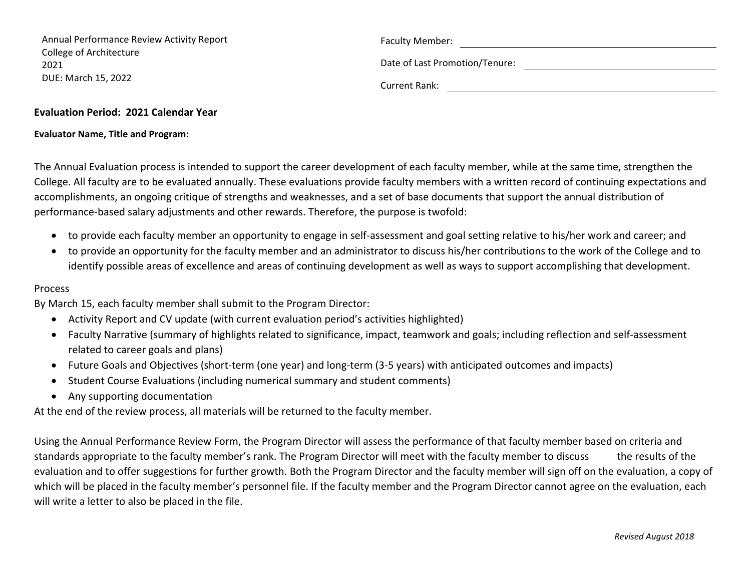| Annual Performance Review Activity Report    | <b>Faculty Member:</b>         |
|----------------------------------------------|--------------------------------|
| College of Architecture<br>2021              | Date of Last Promotion/Tenure: |
| DUE: March 15, 2022                          | Current Rank:                  |
| <b>Evaluation Period: 2021 Calendar Year</b> |                                |

**Evaluator Name, Title and Program:**

The Annual Evaluation process is intended to support the career development of each faculty member, while at the same time, strengthen the College. All faculty are to be evaluated annually. These evaluations provide faculty members with <sup>a</sup> written record of continuing expectations and accomplishments, an ongoing critique of strengths and weaknesses, and <sup>a</sup> set of base documents that support the annual distribution of performance‐based salary adjustments and other rewards. Therefore, the purpose is twofold:

- to provide each faculty member an opportunity to engage in self‐assessment and goal setting relative to his/her work and career; and
- to provide an opportunity for the faculty member and an administrator to discuss his/her contributions to the work of the College and to identify possible areas of excellence and areas of continuing development as well as ways to support accomplishing that development.

## Process

By March 15, each faculty member shall submit to the Program Director:

- Activity Report and CV update (with current evaluation period's activities highlighted)
- Faculty Narrative (summary of highlights related to significance, impact, teamwork and goals; including reflection and self‐assessment related to career goals and plans)
- Future Goals and Objectives (short‐term (one year) and long‐term (3‐5 years) with anticipated outcomes and impacts)
- Student Course Evaluations (including numerical summary and student comments)
- Any supporting documentation

At the end of the review process, all materials will be returned to the faculty member.

Using the Annual Performance Review Form, the Program Director will assess the performance of that faculty member based on criteria and standards appropriate to the faculty member's rank. The Program Director will meet with the faculty member to discuss the results of the evaluation and to offer suggestions for further growth. Both the Program Director and the faculty member will sign off on the evaluation, <sup>a</sup> copy of which will be placed in the faculty member's personnel file. If the faculty member and the Program Director cannot agree on the evaluation, each will write <sup>a</sup> letter to also be placed in the file.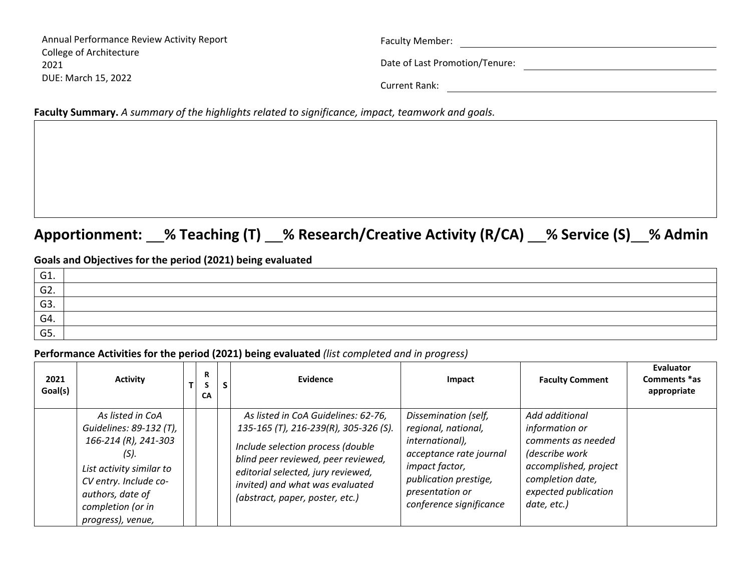| Annual Performance Review Activity Report | <b>Faculty Member:</b>         |
|-------------------------------------------|--------------------------------|
| College of Architecture                   |                                |
| 2021                                      | Date of Last Promotion/Tenure: |
| DUE: March 15, 2022                       |                                |
|                                           | Current Rank:                  |

**Faculty Summary.** *A summary of the highlights related to significance, impact, teamwork and goals.*

# **Apportionment: % Teaching (T) % Research/Creative Activity (R/CA) % Service (S) % Admin**

## **Goals and Objectives for the period (2021) being evaluated**

| G1.     |  |
|---------|--|
| $-$ G2. |  |
| G3.     |  |
| G4.     |  |
| G5.     |  |

#### **Performance Activities for the period (2021) being evaluated** *(list completed and in progress)*

| 2021<br>Goal(s) | <b>Activity</b>                                                                                                                                                                                   | R<br>СA | S | Evidence                                                                                                                                                                                                                                                             | Impact                                                                                                                                                                             | <b>Faculty Comment</b>                                                                                                                                       | Evaluator<br>Comments *as<br>appropriate |
|-----------------|---------------------------------------------------------------------------------------------------------------------------------------------------------------------------------------------------|---------|---|----------------------------------------------------------------------------------------------------------------------------------------------------------------------------------------------------------------------------------------------------------------------|------------------------------------------------------------------------------------------------------------------------------------------------------------------------------------|--------------------------------------------------------------------------------------------------------------------------------------------------------------|------------------------------------------|
|                 | As listed in CoA<br>Guidelines: 89-132 (T),<br>166-214 (R), 241-303<br>$(S)$ .<br>List activity similar to<br>CV entry. Include co-<br>authors, date of<br>completion (or in<br>progress), venue, |         |   | As listed in CoA Guidelines: 62-76,<br>135-165 (T), 216-239(R), 305-326 (S).<br>Include selection process (double<br>blind peer reviewed, peer reviewed,<br>editorial selected, jury reviewed,<br>invited) and what was evaluated<br>(abstract, paper, poster, etc.) | Dissemination (self,<br>regional, national,<br>international),<br>acceptance rate journal<br>impact factor,<br>publication prestige,<br>presentation or<br>conference significance | Add additional<br>information or<br>comments as needed<br>(describe work<br>accomplished, project<br>completion date,<br>expected publication<br>date, etc.) |                                          |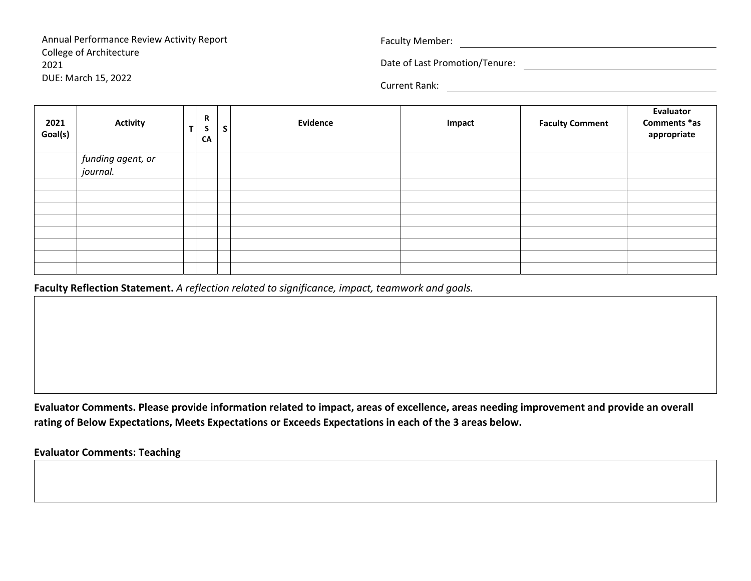Annual Performance Review Activity Report College of Architecture 2021DUE: March 15, 2022

Faculty Member:

Date of Last Promotion/Tenure:

Current Rank:

| 2021<br>Goal(s) | <b>Activity</b>   | R<br>$\mathbf{z}$<br>CA | S | Evidence | Impact | <b>Faculty Comment</b> | Evaluator<br>Comments *as<br>appropriate |
|-----------------|-------------------|-------------------------|---|----------|--------|------------------------|------------------------------------------|
|                 | funding agent, or |                         |   |          |        |                        |                                          |
|                 | journal.          |                         |   |          |        |                        |                                          |
|                 |                   |                         |   |          |        |                        |                                          |
|                 |                   |                         |   |          |        |                        |                                          |
|                 |                   |                         |   |          |        |                        |                                          |
|                 |                   |                         |   |          |        |                        |                                          |
|                 |                   |                         |   |          |        |                        |                                          |
|                 |                   |                         |   |          |        |                        |                                          |
|                 |                   |                         |   |          |        |                        |                                          |
|                 |                   |                         |   |          |        |                        |                                          |

**Faculty Reflection Statement.** *A reflection related to significance, impact, teamwork and goals.*

Evaluator Comments. Please provide information related to impact, areas of excellence, areas needing improvement and provide an overall **rating of Below Expectations, Meets Expectations or Exceeds Expectations in each of the 3 areas below.**

**Evaluator Comments: Teaching**